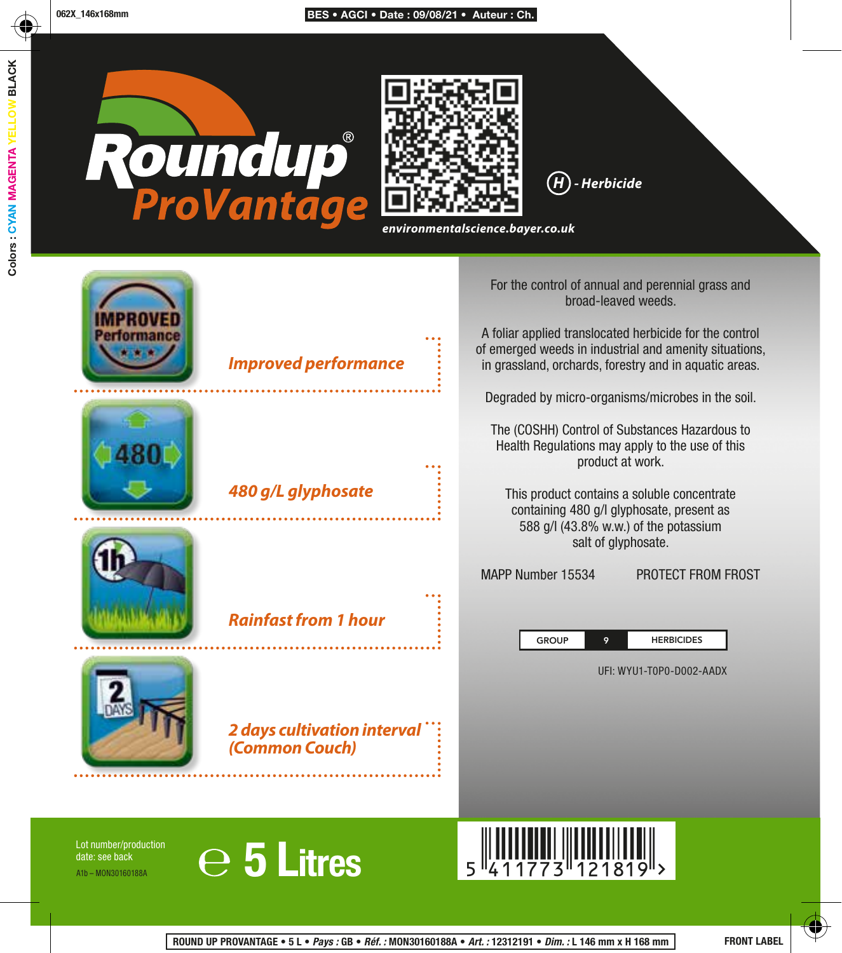



*H - Herbicide*

*environmentalscience.bayer.co.uk*









*Improved performance*



| 2 days cultivation interval |  |
|-----------------------------|--|
| (Common Couch)              |  |

For the control of annual and perennial grass and broad-leaved weeds.

A foliar applied translocated herbicide for the control of emerged weeds in industrial and amenity situations, in grassland, orchards, forestry and in aquatic areas.

Degraded by micro-organisms/microbes in the soil.

The (COSHH) Control of Substances Hazardous to Health Regulations may apply to the use of this product at work.

This product contains a soluble concentrate containing 480 g/l glyphosate, present as 588 g/l (43.8% w.w.) of the potassium salt of glyphosate.

MAPP Number 15534 PROTECT FROM FROST



UFI: WYU1-T0P0-D002-AADX

Lot number/production<br>date: see back





◈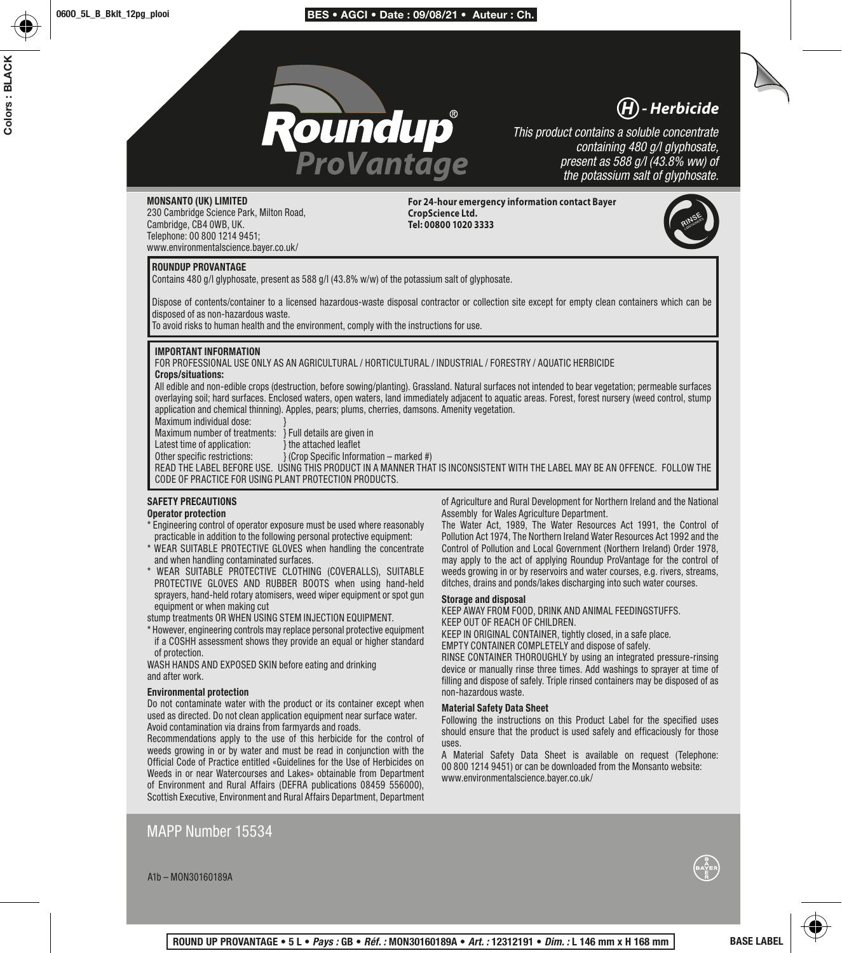

# *H - Herbicide*

*This product contains a soluble concentrate containing 480 g/l glyphosate, present as 588 g/l (43.8% ww) of the potassium salt of glyphosate.*

### MONSANTO (UK) LIMITED

230 Cambridge Science Park, Milton Road, Cambridge, CB4 0WB, UK. Telephone: 00 800 1214 9451; www.environmentalscience.bayer.co.uk/

**For 24-hour emergency information contact Bayer CropScience Ltd. Tel: 00800 1020 3333**



### ROUNDUP PROVANTAGE

Contains 480 g/l glyphosate, present as 588 g/l (43.8% w/w) of the potassium salt of glyphosate.

Dispose of contents/container to a licensed hazardous-waste disposal contractor or collection site except for empty clean containers which can be disposed of as non-hazardous waste.

To avoid risks to human health and the environment, comply with the instructions for use.

### IMPORTANT INFORMATION

FOR PROFESSIONAL USE ONLY AS AN AGRICULTURAL / HORTICULTURAL / INDUSTRIAL / FORESTRY / AQUATIC HERBICIDE Crops/situations:

All edible and non-edible crops (destruction, before sowing/planting). Grassland. Natural surfaces not intended to bear vegetation; permeable surfaces overlaying soil; hard surfaces. Enclosed waters, open waters, land immediately adjacent to aquatic areas. Forest, forest nursery (weed control, stump application and chemical thinning). Apples, pears; plums, cherries, damsons. Amenity vegetation.

Maximum individual dose:

Maximum number of treatments: } Full details are given in

Latest time of application: <br>Other specific restrictions: <br>(Crop Specific Informations: )  $\Theta$  (Crop Specific Information – marked #)

READ THE LABEL BEFORE USE. USING THIS PRODUCT IN A MANNER THAT IS INCONSISTENT WITH THE LABEL MAY BE AN OFFENCE. FOLLOW THE CODE OF PRACTICE FOR USING PLANT PROTECTION PRODUCTS.

# SAFETY PRECAUTIONS

### Operator protection

- \* Engineering control of operator exposure must be used where reasonably practicable in addition to the following personal protective equipment:
- \* WEAR SUITABLE PROTECTIVE GLOVES when handling the concentrate and when handling contaminated surfaces.
- \* WEAR SUITABLE PROTECTIVE CLOTHING (COVERALLS), SUITABLE PROTECTIVE GLOVES AND RUBBER BOOTS when using hand-held sprayers, hand-held rotary atomisers, weed wiper equipment or spot gun equipment or when making cut

stump treatments OR WHEN USING STEM INJECTION EQUIPMENT.

\* However, engineering controls may replace personal protective equipment if a COSHH assessment shows they provide an equal or higher standard of protection.

WASH HANDS AND EXPOSED SKIN before eating and drinking and after work.

### Environmental protection

Do not contaminate water with the product or its container except when used as directed. Do not clean application equipment near surface water. Avoid contamination via drains from farmyards and roads.

Recommendations apply to the use of this herbicide for the control of weeds growing in or by water and must be read in conjunction with the Official Code of Practice entitled «Guidelines for the Use of Herbicides on Weeds in or near Watercourses and Lakes» obtainable from Department of Environment and Rural Affairs (DEFRA publications 08459 556000), Scottish Executive, Environment and Rural Affairs Department, Department of Agriculture and Rural Development for Northern Ireland and the National Assembly for Wales Agriculture Department.

The Water Act, 1989, The Water Resources Act 1991, the Control of Pollution Act 1974, The Northern Ireland Water Resources Act 1992 and the Control of Pollution and Local Government (Northern Ireland) Order 1978, may apply to the act of applying Roundup ProVantage for the control of weeds growing in or by reservoirs and water courses, e.g. rivers, streams, ditches, drains and ponds/lakes discharging into such water courses.

### Storage and disposal

KEEP AWAY FROM FOOD, DRINK AND ANIMAL FEEDINGSTUFFS. KEEP OUT OF REACH OF CHILDREN.

KEEP IN ORIGINAL CONTAINER, tightly closed, in a safe place.

EMPTY CONTAINER COMPLETELY and dispose of safely.

RINSE CONTAINER THOROUGHLY by using an integrated pressure-rinsing device or manually rinse three times. Add washings to sprayer at time of filling and dispose of safely. Triple rinsed containers may be disposed of as non-hazardous waste.

### Material Safety Data Sheet

Following the instructions on this Product Label for the specified uses should ensure that the product is used safely and efficaciously for those uses.

A Material Safety Data Sheet is available on request (Telephone: 00 800 1214 9451) or can be downloaded from the Monsanto website: www.environmentalscience.bayer.co.uk/

# MAPP Number 15534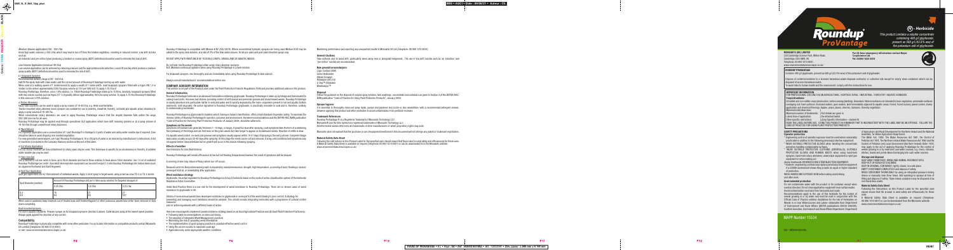# MAPP Number 15534

*This product contains a soluble concentrate containing 480 g/l glyphosate, present as 588 g/l (43.8% ww) of therbicide*<br>*t contains a soluble concentrate<br>containing 480 g/l glyphosate,<br>present as 588 g/l (43.8% ww) of<br>the potassium salt of glyphosate.* 

A1b – MON30160189A





### *Medium Volume application* (150 - 300 l/ha)

Avoid high water volumes (>300 l/ha) which may lead to run-off from the treated vegetation, resulting in reduced control. Low drift nozzles such as

air induction and pre-orifice types producing a medium or coarse spray (BCPC definition) should be used to minimise the risk of drift.

### *Low Volume Application* (minimum 80 l/ha)

Low volume application can be achieved by reducing pressure and the appropriate nozzle selection. Low drift nozzles which produce a medium spray quality (BCPC definition) should be used to minimise the risk of drift.

### b ) Knapsack Sprayers

Recommended delivery range is 80 - 250 l/ha.

When conventional rotary atomisers are used to apply Roundup ProVantage ensure that the droplet diameter falls within the range 200-300 microns for all uses.

Half fill the spray tank with clean water, add the correct amount of Roundup ProVantage and top up with water. When used at a walking speed of 1 metre/second to apply a swath of 1 metre width, most knapsack sprayers fitted with a Hypro AN 1.2 or similar nozzle deliver approximately 200 l/ha spray volume (or 10 l per 500 m2). To apply 3.75 l/ha of

Roundup ProVantage, therefore, use a 1.9% solution, i.e. 190ml Roundup ProVantage made up to 10 litres. Similarly, knapsack sprayers fitted with low volume nozzles such as Hypro DT 1.5 typically deliver approximately 100 l/ha spray volume. To apply 3.75 l/ha Roundup ProVantage in this case use 3.75% solution.

### Rotary Atomiser

Use a hatchet to cut one notch in trees up to 10cm diameter and two to three notches in trees above 10cm diameter. Use 1.5 ml of undiluted Roundup ProVantage per notch. Specialist stem injection equipment can be used to inject 1.5 mls Roundup ProVantage into hollow stems such as Japanese Knotweed and Giant Hogweed.

### **Spot Gun Applicators**

Hand-held machines can be used to apply a spray volume of 10-40 l/ha, e.g. Herbi and Herbaflex.

Tractor-mounted rotary atomiser boom sprayers are suitable for use in amenity, industrial, forestry, orchards and aquatic areas situations to apply a spray volume of 10-40 l/ha.

Roundup ProVantage may be applied neat through specialised ULV applicators which have drift reducing systems or at a spray volume of 10-40 l/ha through conventional rotary atomisers.

### d) Weed Wipers

For ropewick applicators use a concentration of 1 part Roundup Pro-Vantage to 3 parts of water and add a water-soluble dye if required. Care should be taken to avoid dripping onto wanted vegetation.

For new generation weed wipers, use 1part Roundup ProVantage to 10 or 20 parts of water or as directed by manufacturer's instructions. A list of machines is included in the Company Advisory section at the end of this label.

### e) Cut Stump Applicators

For cut stump treatment an Enso attachment to rotary saws may be used. This technique is specific to scrub clearance in forestry. A suitable water soluble dye may be used.

### f) Stem injection

Spot gun applicators are for the treatment of individual weeds. Apply 5 ml of spray to target weed, using a narrow cone TG-3 or TG-5 nozzle.

|  | Spot Diameter (metres) | Amount of Roundup ProVantage (ml) per 5 litres spray solution for targeted dosages of: |                   |           |  |
|--|------------------------|----------------------------------------------------------------------------------------|-------------------|-----------|--|
|  |                        | 2.25 l/ha                                                                              | 3.0 I/ha          | 3.75 l/ha |  |
|  | 0.3<br>0.6             | 16<br>64                                                                               | $2^{\circ}$<br>85 | 27<br>107 |  |

When used in paddocks keep livestock out of treated area until treated Ragwort or other poisonous weeds have either been removed or died down completely.

### Boat mounted sprayers

For use in aquatic situations. Prepare sprayer as for knapsack sprayers (Section b above). Calibrate and spray at the lowest speed possible. Always apply against the direction of any current.

# Compatibility

Roundup ProVantage is physically compatible with some other pesticides. For up to date information on compatible products contact Monsanto UK Limited (Telephone: 00 800 1214 9451) or visit www.environmentalscience.bayer.co.uk/

Roundup ProVantage is compatible with Mixture B NF (ADJ 0570). Where conventional hydraulic sprayers are being used Mixture B NF may be added to the spray tank solution, at a rate of 2% of the final water volume, for all pre-plant and post-plant directed sprays only.

DO NOT APPLY WITH MIXTURE B NF TO EDIBLE CROPS, GRASSLAND OR AQUATIC WEEDS.

Do not tank-mix Roundup ProVantage when using rotary atomiser sprayers. N.B. Maintain continuous agitation when using Roundup ProVantage in a tank-mixture.

For knapsack sprayers: mix thoroughly and use immediately when using Roundup ProVantage in tank mixture.

Always consult manufacturers' recommendations before use.

### COMPANY ADVISORY INFORMATION

This section is not part of the Product Label under the Plant Protection Products Regulations 1995 and provides additional advice on the product.

### General Information

Roundup ProVantage herbicide is an advanced formulation containing glyphosate. Roundup ProVantage is taken up by foliage and translocated to underground roots, rhizomes and stolons, providing control of both annual and perennial grasses and broad-leaved weeds. Roundup ProVantage is rapidly adsorbed onto particulate matter in soils and water and is quickly degraded by the micro-organisms present in soil and aquatic bottom sediments. Until degraded, the active ingredient in Roundup ProVantage, glyphosate, is practically immobile in soils and is, therefore, unlikely to contaminate groundwater.

Roundup ProVantage is a glyphosate formulation which, having no hazard classification, offers a high standard of operator safety. To maximise the intrinsic safety of Roundup ProVantage to operator, consumer and environment, the label recommendations and the DEFRA/HSC/NAW publication "Code of Practice for the Using Plant Protection Products» of January 2006, should be adhered to.

### Symptoms on the weeds

Symptoms of treatment are generally first seen 7 - 14 days, or longer, if growth is slow after spraying. Leaf symptoms take the form of a reddening then yellowing of the foliage and are first seen on the grass weeds but take longer to appear on broadleaved weeds. Reaction of nettle is slow.

For aquatic weed control, on reeds and grasses leaf symptoms usually appear within 14-21 days of spraying in the early autumn. Complete foliage desiccation usually occurs 30-40 days after spraying. At this stage the reeds can be cut and removed. During cold conditions leaf symptoms may not appear before natural dieback but no growth will occur in the season following spraying.

# Effects of weather

See Directions for Use (Restrictions).

Roundup ProVantage will remain efficacious at low but not freezing temperatures however the onset of symptoms will be delayed.

A covering of dew may reduce efficacy where run-off occurs.

Reduced control is likely where weed growth is impaired by natural senescence, drought, high temperature, a covering of dust, flooding or severe/ prolonged frost at, or immediately after application.

# Weed resistance strategy

Glyphosate, the active ingredient in Roundup ProVantage is a Group G herbicide based on the mode of action classification system of the Herbicide Resistance Action Committee.

Under Best Practice there is a low risk for the development of weed resistance to Roundup ProVantage. There are no known cases of weed resistance to glyphosate in UK.

Strains of some annual weeds have developed resistance to glyphosate in some parts of the world leading to poor control. A strategy for preventing and managing such resistance should be adopted. This should include integrating herbicides with a programme of cultural control

measures and /or active ingredients with a different mode of action.

Users are encouraged to implement a weed resistance strategy based on (a) Good Agricultural Practices and (b) Good Plant Protection Practices by:

- Following label recommendations on rates and timing.
- The adoption of Integrated Weed Management practices
- Minimising the risk of spreading weed infestations
- The implementation of good spraying practice to maintain effective weed control
- Using the correct nozzles to maximise coverage
- Application only under appropriate weather conditions

Monitoring performance and reporting any unexpected results to Monsanto UK Ltd (Telephone: 00 800 1214 9451).

### General Cautions

Take extreme care to avoid drift, particularly when using near or alongside hedgerows. The use of low drift nozzles such as 'air induction' and 'pre-orifice' nozzles are recommended.

# New generation weedwipers

Logic Contact 2000 Carier Rollmaster Allman Ecowipe Rotowiper (UK) Ltd C-Dax™ Eliminator Weedswiper™

Disposal Follow the guidance on the disposal of surplus spray solution, tank washings, concentrate and containers as given in Section 5 of the DEFRA/HSC/ NAW publication "Code of Practice for Using Plant Protection Products", January 2006.

### Sprayer hygiene

It is essential to thoroughly clean-out spray tanks, pumps and pipelines and nozzle or disc assemblies, with a recommended detergent cleaner, between applying this product and other pesticides to avoid contamination from pesticide residues.

### Trademark References

Roundup ProVantage ® is a Registered Trademark of Monsanto Technology LLC. Monsanto® and the Vine symbol are registered trademarks of Monsanto Technology LLC. All other brand names referred to are trademarks of other manufacturers in which proprietary rights may exist.

Monsanto does not warrant that the purchase or use of equipment mentioned in this document will not infringe any patent or trademark registration.

### Material Safety Data Sheet

Following the instructions on this Product Label for the specified uses should ensure that the product is used safely and efficaciously for those uses. A Material Safety Data Sheet is available on request (Telephone: 00 800 1214 9451) or can be downloaded from the Monsanto website: www.environmentalscience.bayer.co.uk/



### MONSANTO (UK) LIMITED 230 Cambridge Science Park, Milton Road, Cambridge, CB4 0WB, UK. Telephone: 00 800 1214 9451; www.environmentalscience.bayer.co.uk/

**For 24-hour emergency information contact Bayer CropScience Ltd. Tel: 00800 1020 3333**



L / INDUSTRIAL / FORESTRY / AQUATIC HERBICIDE

rassland. Natural surfaces not intended to bear vegetation; permeable surfaces ediately adiacent to aquatic areas. Forest, forest nursery (weed control, stump sons. Amenity vegetation.

HAT IS INCONSISTENT WITH THE LABEL MAY BE AN OFFENCE. FOLLOW THE

### ROUNDUP PROVANTAGE

Contains 480 g/l glyphosate, present as 588 g/l (43.8% w/w) of the potassium salt of glyphosate.

Dispose of contents/container to a licensed hazardous-waste disposal contractor or collection site except for empty clean containers which can be disposed of as non-hazardous waste. To avoid risks to human health and the environment, comply with the instructions for use.

### SAFETY PRECAUTIONS Operator protection

practicable in addition to the following personal protective equipment:

- and when handling contaminated surfaces.
- PROTECTIVE GLOVES AND RUBBER BOOTS when using hand-held ditches, drains and ponds/lakes discharging into such water courses. sprayers, hand-held rotary atomisers, weed wiper equipment or spot gun equipment or when making cut
- stump treatments OR WHEN USING STEM INJECTION EQUIPMENT.
- stamp deathering controls may replace personal protective equipment KEEP OUT OF REACH OF CHILDREN.<br>\* However, engineering controls may replace personal protective equipment KEEP IN ORIGINAL CONTAINER, tightly closed, in a if a COSHH assessment shows they provide an equal or higher standard of protection.
- WASH HANDS AND EXPOSED SKIN before eating and drinking and after work.

### Environmental protection

Do not contaminate water with the product or its container except when Material Safety Data Sheet used as directed. Do not clean application equipment near surface water. Avoid contamination via drains from farmyards and roads.

Recommendations apply to the use of this herbicide for the control of wecommentations apply to the use of this herolicite for the control of these.<br>Weeds growing in or by water and must be read in conjunction with the A Material Safety Data Sheet is available on request (Telephone: Official Code of Practice entitled «Guidelines for the Use of Herbicides on 00 800 1214 9451) or can be downloaded from the Monsanto website: Weeds in or near Watercourses and Lakes» obtainable from Department www.environmentalscience.bayer.co.uk/ of Environment and Rural Affairs (DEFRA publications 08459 556000), Scottish Executive, Environment and Rural Affairs Department, Department

\* Engineering control of operator exposure must be used where reasonably The Water Act, 1989, The Water Resources Act 1991, the Control of \* WEAR SUITABLE PROTECTIVE GLOVES when handling the concentrate Control of Pollution and Local Government (Northern Ireland) Order 1978, \* WEAR SUITABLE PROTECTIVE CLOTHING (COVERALLS), SUITABLE weeds growing in or by reservoirs and water courses, e.g. rivers, streams, Pollution Act 1974, The Northern Ireland Water Resources Act 1992 and the may apply to the act of applying Roundup ProVantage for the control of

# Storage and disposal

KEEP AWAY FROM FOOD, DRINK AND ANIMAL FEEDINGSTUFFS.<br>KEEP OUT OF REACH OF CHILDREN

### IMPORTANT INFORMATION

|                                                       | FOR PROFESSIONAL USE ONLY AS AN AGRICULTURAL / HORTICULTURAL                 |
|-------------------------------------------------------|------------------------------------------------------------------------------|
| <b>Crops/situations:</b>                              |                                                                              |
|                                                       | All edible and non-edible crops (destruction, before sowing/planting). Grass |
|                                                       | overlaying soil; hard surfaces. Enclosed waters, open waters, land immedi-   |
|                                                       | application and chemical thinning). Apples, pears; plums, cherries, damson   |
| Maximum individual dose:                              |                                                                              |
| Maximum number of treatments:                         | } Full details are given in                                                  |
| Latest time of application:                           | I the attached leaflet                                                       |
| Other specific restrictions:                          | } (Crop Specific Information - marked #)                                     |
|                                                       | READ THE LABEL BEFORE USE. USING THIS PRODUCT IN A MANNER THA                |
| CODE OF PRACTICE FOR USING PLANT PROTECTION PRODUCTS. |                                                                              |

of Agriculture and Rural Development for Northern Ireland and the National Assembly for Wales Agriculture Department.

EMPTY CONTAINER COMPLETELY and dispose of safely.

RINSE CONTAINER THOROUGHLY by using an integrated pressure-rinsing device or manually rinse three times. Add washings to sprayer at time of filling and dispose of safely. Triple rinsed containers may be disposed of as non-hazardous waste.

Following the instructions on this Product Label for the specified uses should ensure that the product is used safely and efficaciously for those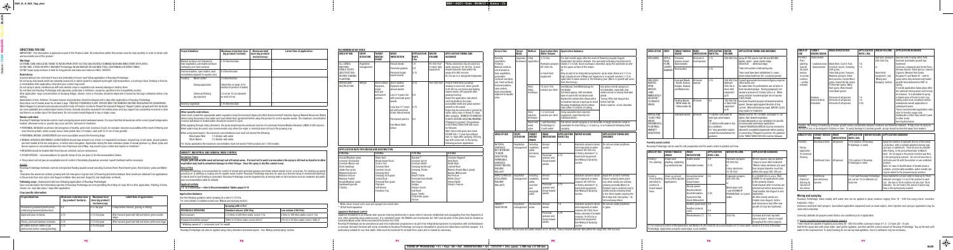### DIRECTIONS FOR USE

IMPORTANT: This information is approved as part of the Product Label. All instructions within this section must be read carefully in order to obtain safe and successful use of this product.

Warnings EXTREME CARE SHOULD BE TAKEN TO AVOID SPRAY DRIFT AS THIS CAN SEVERELY DAMAGE NEIGHBOURING CROPS OR PLANTS. DO NOT MIX, STORE OR APPLY ROUNDUP ProVantage IN GALVANISED OR UNLINED STEEL CONTAINERS OR SPRAY TANKS. DO NOT leave spray mixtures in tank for long periods and make sure tanks are WELL VENTED.

# Restrictions

A period without rain of at least 6 hours and preferably 24 hours must follow application of Roundup ProVantage. Do not spray onto weeds which are naturally senescent, or where growth is impaired by drought, high temperature, a covering of dust, flooding or frost at, or immediately after application, otherwise poor control may result.

Do not spray in windy conditions as drift onto desired crops or vegetation can severely damage or destroy them.

Do not tank-mix Roundup ProVantage with adjuvants, pesticides or fertilisers, except as specified in the Compatibility section.

After application, large concentrations of decaying foliage, stolons, roots or rhizomes should be dispersed or buried by thorough cultivation before crop

drilling. Applications of lime, fertiliser, farmyard manure and pesticides should be delayed until 5 days after application of Roundup ProVantage. Keep stock out of treated areas for at least 5 days. TREATED POISONOUS PLANT SPECIES MUST BE REMOVED BEFORE REGRAZING OR CONSERVING. Where Ragwort is present users should consult the Code of Practice on How to Prevent the Spread of Ragwort. Ragwort plants sprayed with this herbicide are more palatable and contain higher levels of toxins. Animals should be excluded from treated areas until any ragwort has completely recovered or died and there is no visible sign of the dead weed. Do not include treated Ragwort in hay or silage crops.

<u>Aquatic</u><br>Roundup ProVantage herbicide controls emerged and floating aquatic weeds including Common Reed, Reed Sweet-grass, Reed Canary-grass and Waterlily.

### Weeds controlled

Roundup ProVantage herbicide controls most emerged grasses and broadleaved weeds. It is important that all weeds are at the correct growth stage when treated, otherwise some re-growth may occur and this will need re-treatment.

• PERENNIAL GRASSES must have full emergence of healthy, green leaf. (Common Couch, for example, becomes susceptible at the onset of tillering and new rhizome growth, which usually occurs when plants have 4-5 leaves, each with 10-15 cm of new growth).

• PERENNIAL BROAD-LEAVED WEEDS are most susceptible around the flowering stage.

• ANNUAL GRASSES AND BROAD-LEAVED WEEDS should have at least 5 cm of leaf, or 2 expanded true leaves, respectively. In set-aside, annual grasses are best treated at full ear emergence, or before stem elongation. Application during the stem extension phase of annual grasses e.g. Black-grass and Brome species on set-aside between the end of April and end of May, may result in poor control and require re-treatment.

• BRACKEN should be treated after frond tips are unfurled, but pre-senescence.

• OTHER SPECIES - recommendations for specific Areas of Use are given in the Recommendation Tables.

• This product will not give an acceptable level of control of Horsetails (Equisetum arvense)-repeat treatment will be necessary.

Exclusion Times<br>People, pets and wildlife need not be kept out of treated areas. It is best not to walk in areas where the spray is still wet as transfer to other vegetation may lead to unwanted damage to other foliage. Once the spray is dry this cannot occur.

Treat when the weeds are actively growing with full emergence of green leaf, at flowering and before dieback. Best results are obtained from applications in the periods from mid-July to mid-August on Water-lilies and mid- August to mid-September on Reeds.

Following crops *(Subsequent land use following application of Roundup ProVantage)*

RECOMMENDATION TABLE AREA OF USE CROP/

Upon soil adsorption the herbicidal properties of Roundup ProVantage are lost permitting the drilling of crops 48 hrs after application. Planting of trees, shrubs, etc. may take place 7 days after application.

### Crop specific information

**broad-leaved weeds** Permanent pasture See Weed Table below

| <b>Crops/situations</b>                                                   | <b>Maximum individual dose</b><br>(kg product/ hectare): | <b>Maximum total</b><br>dose (kg product/<br>hectare/crop): | Latest time of application:                                      |
|---------------------------------------------------------------------------|----------------------------------------------------------|-------------------------------------------------------------|------------------------------------------------------------------|
| Permanent grassland (destruction),<br>rotational grassland (destruction). | 4.5                                                      | 4.5 l/ha/vear                                               | 5 days before harvest, grazing or drilling                       |
| Apple and pear orchards.                                                  | 3.75                                                     | 3.75 l/ha/vear                                              | After harvest (post leaf-fall) but before green cluster<br>stage |
| Cherry, plum and damson orchards.                                         | 3.75                                                     | 3.75 l/ha/year                                              | After harvest (post leaf-fall) but before white bud stage        |
| All edible and non-edible crops<br>(destruction before sowing/planting)   | 3.75                                                     | 3.75 l/ha/vear                                              | $\overline{\phantom{0}}$                                         |

### 2.25 l/ha 4.5 l/ha 3.0 l/ha 4.5 l/ha 3.75 l/ha 4.5 l/ha 4.5 l/ha Annual Meadow-grass Common Chickweed Common Mouse-ear Dock Seedlings Black-bent Broad-leaved Dock Cock's-foot Common Bent }racken\* Common Sorrel Common Nettle

| <b>Crops/situations</b><br>Natural surfaces not intended to<br>bear vegetation, permeable surfaces<br>overlaying soil, hard surfaces |                                                                             | Maximum individual dose<br><b>Maximum total</b><br>(kg product/ hectare):<br>dose (kg product/<br>hectare/crop): |  | Latest time of application: |  |
|--------------------------------------------------------------------------------------------------------------------------------------|-----------------------------------------------------------------------------|------------------------------------------------------------------------------------------------------------------|--|-----------------------------|--|
|                                                                                                                                      |                                                                             | 3.75 litres/hectare                                                                                              |  |                             |  |
|                                                                                                                                      | Enclosed waters, open waters, land<br>immediately adjacent to aquatic area. | 4.5 litres/hectare                                                                                               |  |                             |  |
| Forestry:                                                                                                                            | Weed control                                                                | 7.5 litres/hectare                                                                                               |  |                             |  |
|                                                                                                                                      | Stump application                                                           | 150ml/litre of water (15%<br>solution of product in water)                                                       |  |                             |  |
|                                                                                                                                      | Chemical thinning<br>(by injection)                                         | 1.5 ml per 10 cm diameter<br>(or less) of tree                                                                   |  |                             |  |
| Amenity vegetation                                                                                                                   |                                                                             | 3.75 litres/hectare                                                                                              |  |                             |  |

# Other specific restrictions:

Users must consult the appropriate water regulatory body (Environment Agency/Scottish Environmental Protection Agency/Natural Resources Wales) before using the product near water and must obtain their agreement before using this product to control aquatic weeds. The maximum concentration of active substance in treated water should not exceed 0.2 ppm.

When applying through rotary atomisers, the spray droplet spectra produced must be of a minimum Volume Median Diameter (VMD) of 200 microns. Weed wipers may be used in any recommended crop where the wiper or chemical does not touch the growing crop.

When using weed wipers, the maximum concentrations used must not exceed the following:

Weed wiper Mini 1:3 dilution with water

Other Wipers 1:2 dilution with water

For stump application the maximum concentration must not exceed 150ml product per 1.0 litre water.

# AMENITY, INDUSTRIAL AND GENERAL WEED CONTROL

# Area of Use

Roundup ProVantage is recommended for control of annual and perennial grasses and broad-leaved weeds in non-crop areas, for cleaning up weedy ground prior to planting or sowing and for aquatic weed control. Roundup ProVantage may also be used as a directed spray in ornamental plantings, orchards and for spot treating in grassland. Roundup ProVantage must be targeted only at weed growth on hard surfaces such as roadsides and paths, (see recommendation table for details).

<u>Application Rate</u><br>1.0 to 7.5 litres/ha – refer to Recommendation Tables pages 9-15

# Application Guidance

Use the following guidance when spraying at a rate of 3.75 l/ha.

For more details of suitable nozzles see 'Mixing and spraying section.'

|                                            | Spraying with 3.75 I/                              |                                                      |  |  |  |  |
|--------------------------------------------|----------------------------------------------------|------------------------------------------------------|--|--|--|--|
| <b>HYDRAULIC SPRAYERS</b>                  | Standard volume (200 I/ha)                         | Low volume (100 l/ha)                                |  |  |  |  |
| Boom sprayer                               | 3.75 litres in 200 litres water covers 1 ha        | 5 litres in 100 litres water covers 1 ha             |  |  |  |  |
| Knapsack/handheld sprayer*                 | 188ml in 10 litres water covers 500 m <sup>2</sup> | 375 ml in 10 litres water covers 1000 m <sup>2</sup> |  |  |  |  |
| * Walking speed of 1 m/second and 1m swath |                                                    |                                                      |  |  |  |  |

Roundup ProVantage can also be applied using rotary atomisers and weed wipers. See 'Mixing and Spraying' section.

TARGET

| AREA OF USE                                   | <b>CROP/</b><br><b>SITUATION</b> | TARGET<br>WEEDS/<br><b>USAGE</b>                  | WEED<br><b>INFESTATION</b>                             | APPLICATION<br><b>RATE</b><br>I/ha | <b>WATER</b><br><b>VOLUME</b>         |
|-----------------------------------------------|----------------------------------|---------------------------------------------------|--------------------------------------------------------|------------------------------------|---------------------------------------|
| ALL EDIBLE<br>AND NON-<br><b>EDIBLE CROPS</b> | Vegetation<br>management         |                                                   | Annual weeds<br>Perennial grasses                      | 1.0<br>3.0                         | 80-250 l/h<br>or hand-he<br>equipment |
| (DESTRUCTION.<br>BEFORE SOWING/<br>PLANTING)  |                                  |                                                   | Perennial broad-<br>leaved weeds                       | 3.75                               |                                       |
| GRASSLAND -<br>DESTRUCTION                    | GRASS                            | Short rotation<br>Ryegrass,<br>longer<br>levs and | Short rotation<br><b>Rvegrass with</b><br>annual weeds | 2.25                               | 150-250 l/                            |
|                                               |                                  | permanent<br>pasture                              | Leys 2-4 years old<br>with perennial grass<br>weeds    | 3.0                                |                                       |
|                                               |                                  |                                                   | Long leys 4-7 years<br>old with nerennial              | 3.75                               |                                       |

4.5

| WATER<br>VOLUME                           | <b>APPLICATION TIMING AND</b><br><b>GUIDANCE</b>                                                                                                                                                                                                                                                                                                                                                                                                                                                                                                                                                                                                                                                                                    |  |  |  |
|-------------------------------------------|-------------------------------------------------------------------------------------------------------------------------------------------------------------------------------------------------------------------------------------------------------------------------------------------------------------------------------------------------------------------------------------------------------------------------------------------------------------------------------------------------------------------------------------------------------------------------------------------------------------------------------------------------------------------------------------------------------------------------------------|--|--|--|
| 80-250 l/ha*<br>or hand-held<br>eauipment | *Rotary atomisers may be used at a<br>water volume of 10-40 I/ha. Ensure<br>droplet diameter falls within the<br>range 200-300 microns<br>Do not use in or alongside hedgerows                                                                                                                                                                                                                                                                                                                                                                                                                                                                                                                                                      |  |  |  |
| 150-250 l/ha*                             | Treat EITHER before grazing/<br>mowing in June-Oct, when growth<br>is 30-60 cm, not dense and lacking<br>mature seeds, OR regrowth after<br>grazing/mowing.<br>Select the application rate which<br>controls/destrovs the least<br>susceptible weed and grass species<br>present in the sward.<br>Grass may be conserved or grazed by<br>cattle, dairy cows or sheep 5+ days<br>after spraving. REMOVE POISONOUS<br>PLANTS BEFORE GRAZING/MOWING.<br>If Ragwort is present, the guidance<br>in the DIRECTIONS FOR USE must<br>be followed.<br>ONLY direct drill grass and clover<br>EITHER into 1-2 year leys without<br>mat, 5+ days after spraying, OR long<br>levs with some mat, in the spring<br>following autumn application. |  |  |  |
|                                           |                                                                                                                                                                                                                                                                                                                                                                                                                                                                                                                                                                                                                                                                                                                                     |  |  |  |
|                                           | $4.5$ I/ha                                                                                                                                                                                                                                                                                                                                                                                                                                                                                                                                                                                                                                                                                                                          |  |  |  |
| p*                                        | Common Ragwort<br><b>Hard Rush</b><br><b>Heath Rush</b><br><b>Jointed Rush</b><br>Molinia (Purple Moor-grass)<br>Nardus (Mat grass)                                                                                                                                                                                                                                                                                                                                                                                                                                                                                                                                                                                                 |  |  |  |

APPLICATION RATE FOR GRASSLAND DESTRUCTION

# \*\* At full frond expansion

| Dock Seedlinas        | Common Bent                | Creeping Buttercup*          |
|-----------------------|----------------------------|------------------------------|
| Italian Rye-grass     | <b>Common Couch</b>        | <b>Creeping Thistle</b>      |
| Mayweed species       | <b>Creeping Bent</b>       | Daisy                        |
| <b>Meadow Fescue</b>  | <b>Creeping Soft-grass</b> | Dwarf Thistle                |
| <b>Meadow Foxtail</b> | <b>Curled Dock</b>         | <b>Perennial Sow-thistle</b> |
| Rough Meadow-grass    | Perennial Rye-grass        | <b>Red Clover</b>            |
| Speedwell species     | Plantains                  | Sedaes                       |
| Timothy               | Soft Brome                 | Sheep's Sorrel               |
|                       | <b>Yorkshire Fog</b>       | Soft Rush                    |
|                       |                            | <b>Spear Thistle</b>         |
|                       |                            | <b>Tufted Hair-grass</b>     |
|                       |                            | Yarrow                       |

Red Fescue White Clover\* Yellow Rattle Sheep's Fescue

\* White clover is best cut in June and sprayed one month later

Japanese Knotweed control

Japanese Knotweed is an invasive alien species reducing biodiversity in areas where it become established and propagating from tiny fragments of root, often spreading along watercourses. It is scheduled under the Wildlife and Countryside Act 1981 and all parts of the plant must be treated as Controlled Waste under the Environmental Protection Act 1990.

Roundup ProVantage can be used alone as part of an eradication programme or as part of an integrated programme in conjunction with soil disturbance or removal. Dormant rhizomes will not be controlled by Roundup ProVantage, but may be stimulated to grow by soil disturbance and then sprayed. It is particularly suitable for use near water. Sites must be monitored for at least three years and re-treated as necessary.

| Area of Use                                                                                                                                               | <b>Target</b><br>Weed     | Method                                                  | <b>Application Rate</b><br><b>Water Volume</b>                                     | <b>Application Guidance</b>                                                                                                                                                   |                                                                                                                                                                                                                                                                                                                                                                                                                                                                                                         |                                                                                                                                                                                                    |
|-----------------------------------------------------------------------------------------------------------------------------------------------------------|---------------------------|---------------------------------------------------------|------------------------------------------------------------------------------------|-------------------------------------------------------------------------------------------------------------------------------------------------------------------------------|---------------------------------------------------------------------------------------------------------------------------------------------------------------------------------------------------------------------------------------------------------------------------------------------------------------------------------------------------------------------------------------------------------------------------------------------------------------------------------------------------------|----------------------------------------------------------------------------------------------------------------------------------------------------------------------------------------------------|
| Amenitv<br>vegetation;<br>Forestry;<br>Natural surfaces<br>not intended to<br>bear vegetation,<br>permeable<br>surfaces overlying<br>soil, hard surfaces; | Japanese<br>Knotweed      | Foliar<br>application                                   | 3.75 l/ha<br><b>Hydraulic spravers</b><br>80-250 l/ha<br>or hand-held<br>equipment | 0r<br>from this timing.)                                                                                                                                                      | For best results apply after the onset of flowering (usually August/<br>September) but before dieback. Use specialist extending hand lances for<br>stands 2-3 m tall. Good coverage is essential; spray the underside as well<br>as the upper surface of the leaves.<br>Only as part of an integrated programme, spray when stems are 1-1.5 m<br>high (Usually at end of May) and repeat once re-growth reaches 1-1.5 m<br>again later in same season or the following year. (More re-growth will occur |                                                                                                                                                                                                    |
| Enclosed waters.<br>open waters,<br>land immediately<br>adjacent to aquatic<br>area                                                                       |                           | Stem<br>fillina<br>technique                            | 10 ml of 15%<br>solution per stem                                                  | full details.                                                                                                                                                                 | See National Trust Methodology for<br>Cut stems approx. 200 mm above<br>base of cane & 40 mm above node.<br>Rupture the central stem tissue with a<br>screwdriver and use a spot oun to insert<br>Roundup ProVantage into the hollow<br>stem within 15 minutes of cutting.                                                                                                                                                                                                                              | Use where overall spraying is<br>not desirable, especially near<br>watercourses or among desirable<br>plants.<br>Timing: After mid-August but<br>before leaf fall.<br>Stems must be >8 mm diameter |
|                                                                                                                                                           |                           | Stem<br>iniection<br>technique                          | 1.5 ml of neat<br>solution per stem                                                | individual stems.                                                                                                                                                             | Using specialist stem injection<br>equipment, inject directly into                                                                                                                                                                                                                                                                                                                                                                                                                                      |                                                                                                                                                                                                    |
|                                                                                                                                                           |                           | Hand-held<br>weed<br>wiper                              | 1 part Roundup<br>ProVantage to<br>3 parts water                                   | Use where overall spraying is not desirable or target plants are small or<br>unsuitable for stem filling, $(8 \text{ mm}) e.g. in re-treatment following foliar$<br>spraying. |                                                                                                                                                                                                                                                                                                                                                                                                                                                                                                         |                                                                                                                                                                                                    |
| AREA OF USE                                                                                                                                               | CROP/<br><b>SITUATION</b> | <b>TARGET</b><br>WEEDS/<br><b>USAGE</b>                 | <b>WEED</b><br><b>INFESTATION</b>                                                  | <b>APPLICATION</b><br><b>RATE I/ha</b>                                                                                                                                        | <b>WATER VOLUME</b>                                                                                                                                                                                                                                                                                                                                                                                                                                                                                     | <b>APPLICATION TIMING AND</b><br><b>GUIDANCE</b>                                                                                                                                                   |
| NATURAL<br>SURFACES<br>NOT INTENDED<br>TO BEAR<br>VEGETATION.<br>PERMEABLE<br><b>SURFACES</b><br>OVERLYING SOIL,<br>RAILWAY<br>BALLAST                    | Vegetation<br>management  | Including<br>roadsides.<br>paths<br>and along<br>fences | Annual<br>weeds<br>Perennial<br>grasses and<br>broad-leaved<br>weeds               | 1.0<br>3.75                                                                                                                                                                   | Hydraulic sprayers (boom<br>and knapsack) at water<br>volumes 80-250 I/ha<br>or Rotary atomisers* or<br>hand-held equipment.<br>See Mixing & Spraying<br>section.                                                                                                                                                                                                                                                                                                                                       | Do not use under polythene<br>or glass.                                                                                                                                                            |
| <b>HARD SURFACES</b><br>(EXCLUDING<br>RAILWAY                                                                                                             | Vegetation<br>management  | including<br>roadsides.<br>paths.                       | Annual<br>weeds                                                                    | 1.0                                                                                                                                                                           | Hydraulic sprayers (boom<br>and knapsack) at water<br>volumes 80-250 I/ha                                                                                                                                                                                                                                                                                                                                                                                                                               | Apply this product carefully.<br>Ensure spraying takes place<br>only when weeds are actively                                                                                                       |
| <b>BALLAST)</b>                                                                                                                                           |                           | concrete<br>and<br>alongside<br>walls                   | Perennial<br>grasses and<br>broad-leaved<br>weeds                                  | 3.75                                                                                                                                                                          | or Rotary atomisers* or<br>hand-held equipment.<br>See Mixing & Spraving<br>section.                                                                                                                                                                                                                                                                                                                                                                                                                    | growing (normally March to<br>October) and is confined only to<br>visible weeds including those<br>in the 30cm swath covering the<br>kerb edge and road gulley - do<br>not oversprav drains        |
| AMENITY<br>VEGETATION                                                                                                                                     | Vegetation<br>management  | Ornamental<br>areas                                     | Annual<br>weeds                                                                    | 1.0                                                                                                                                                                           | Hydraulic sprayers (boom<br>and knapsack) at water<br>volumes 80-400 l/ha or                                                                                                                                                                                                                                                                                                                                                                                                                            | Do not use under polythene<br>or glass.                                                                                                                                                            |
|                                                                                                                                                           |                           |                                                         | Perennial<br>grasses and<br>broad-leaved<br>weeds                                  | 3.75                                                                                                                                                                          | Rotary atomisers*at water<br>volumes 10-40 I/ha or<br>hand-held equipment.<br>See Mixing & Spraying                                                                                                                                                                                                                                                                                                                                                                                                     |                                                                                                                                                                                                    |

AREA OF USE | CROP | TARGET WEEDS/ | WEED **LISAGE** INFESTATION | RATE I/ha | VOLUME APPLICATION WATER APPLICATION TIMING AND GUIDANCE ORCHARDS | APPLE, | Perennial PEAR, grasses, broad-most species PLUM, leaved weeds CHERRY, Root suckers - 3.75 All levels of | 200-400 I/ha | Spray AFTER autumn leaf-fall and BEFORE: Apples, pears - green cluster stage Stone fruit - white bud stage Treat root suckers in late spring only. Trees must have been established 2+ years. Avoid contact with tree 30+ cm above ground ENCLOSED WATERS, OPEN WATERS. LAND **IMMEDIATELY** ADJACENT TO AQUATIC AREAS - Emerged Weeds | All levels/ - Reeds, Rushes, species Sedges, Grasses and Watercress 3.75 200-400 l/ha Consult appropriate Environment Agency regional Optimum | office before use. 250 l/ha or On water-lilies it is preferable to use a tractor or hand-held boat-mounted sprayer. During spraying do not equipment exceed a pressure of 2.0 bars (30 p.s.i.). When (p.8) using a tractor mounted sprayer do not exceed All levels 4.5 100-200 l/ha 8 kph (5mph).<br>Use boat-mounted sprayers at slowest practical or hand-held | speed. Always apply against direction of any equipment | current. When disturbed by wash, WATER-LILIES may require re-treatment Floating Weeds - White water-lily - Yellow water-lily (p.8) GRASSLAND, PLANT FREE AREAS, **ORNAMENTAL** PI ANTINGS AMENITY **VEGETATION** Individual weeds All levels 1:3 dilution with water for wick-type weed wipers OR 1:2 dilution with water in hot, recommended weed wiper applicators. dry conditions. For 'new generation' wipers allowed to completely degenerate before grazing consult the manufacturer for | or conserving. If Ragwort is present, the guidance guidance. Weeds must be 10+ cm taller, and wiper 5+ cm I higher, than desired vegetation. Contact Monsanto or your distributor for specific Treated POISONOUS WEEDS must be removed or I in the 'DIRECTIONS FOR USE must be followed.

section.

\*Rotary atomisers may be used at a water volume of 10- 40 l/ha. Ensure droplet diameter falls within the range 200-300 microns

### Forestry weed control

Roundup ProVantage can be used for site preparation and for weed control in planted out trees.

| AREA OF USE                                                                                                                                                                                            | <b>TARGET WEEDS/</b><br><b>USAGE</b>                       | <b>WEED</b><br><b>INFESTATION</b>                                                   | <b>APPLICATION</b><br>RATE L/HA. | <b>WATER VOLUME</b>                                                                                                         | <b>APPLICATION GUIDANCE</b>                                                                                                                                                                                                                                                                                                                                 |  |
|--------------------------------------------------------------------------------------------------------------------------------------------------------------------------------------------------------|------------------------------------------------------------|-------------------------------------------------------------------------------------|----------------------------------|-----------------------------------------------------------------------------------------------------------------------------|-------------------------------------------------------------------------------------------------------------------------------------------------------------------------------------------------------------------------------------------------------------------------------------------------------------------------------------------------------------|--|
| Forestry:<br>- Pre-planting                                                                                                                                                                            | Arable land.<br>planting, replanting,<br>& grassland areas | Arable weeds<br>Grassland weeds                                                     | 3.0<br>3.75                      | Hydraulic sprayers:<br>80-250 l/ha<br><sub>0r</sub><br>rotary atomisers:<br>$10-40$ I/ha*                                   | All tree species may be planted<br>7 days or more after treatment<br>*Where rotary atomisers are used<br>their droplet diameter must fall<br>within the range 200-300 um.                                                                                                                                                                                   |  |
| Forestry:<br>- Post-planting<br>(directed) in<br>conifers &<br>broad-leaved<br>trees                                                                                                                   | Clean-up around<br>trees with knapsack<br>applications.    | Annual/perennial<br>grasses and<br>broad-leaves                                     | 3.0                              | Knapsack sprayers:<br>200-250 I/ha<br><sub>0r</sub><br>Weed wiper mini:<br>1 part ROUNDUP<br>PROVANTAGE to 3 parts<br>water | It is ESSENTIAL to use a TREE<br><b>GUARD</b> for all applications made<br>in the growing season.<br>Treat bracken after frond tips are<br>unfurled but before senescence.<br>Treat heather late August to end<br>September.<br>All other woody weeds are<br>treated June-August, before<br>leaf senescence (but after new<br>growth of crop has hardened). |  |
|                                                                                                                                                                                                        |                                                            | Woody weeds:<br>Bracken/Beech<br>Brush/Brambles<br>Sycamore/Oak<br>Hazel/Willow/Ash | 2.25                             |                                                                                                                             |                                                                                                                                                                                                                                                                                                                                                             |  |
|                                                                                                                                                                                                        |                                                            | Heather (peat soils)<br>Heather (mineral<br>soils)                                  | 3.0<br>4.5                       |                                                                                                                             |                                                                                                                                                                                                                                                                                                                                                             |  |
|                                                                                                                                                                                                        |                                                            | Rhododendron (*)                                                                    | 7.5                              | 250 l/ha                                                                                                                    | Cut back and treat regrowth<br>when at least 1 metre in height<br>throughout the entire coppice.                                                                                                                                                                                                                                                            |  |
| (*) For improved control of Rhododendron add Mixture B (ADJ A0570) at a concentration of 2% final water volume to 6.0 I/ha of Roundup<br>ProVantage. Application using the weed wiper is not suitable. |                                                            |                                                                                     |                                  |                                                                                                                             |                                                                                                                                                                                                                                                                                                                                                             |  |
|                                                                                                                                                                                                        |                                                            |                                                                                     |                                  |                                                                                                                             |                                                                                                                                                                                                                                                                                                                                                             |  |

| <b>AREA OF</b><br><b>USE</b>                                                                                           | <b>TARGET</b><br><b>WEEDS/USAGE</b>                                                                    | <b>WEED INFESTATION</b>                                                                                                                                                                                                                                                                                                                               |            | <b>APPLICATION</b><br>RATE L/HA.                                       |                                                                                                                          | <b>WATER VOLUME</b>                                                                                                                                                                                                                                                                                                                                  | <b>APPLICATION GUIDANCE</b>                                                                                                                                                                                                                                                                                                                                                                                                                                                                                                                                                                                                                                                                                                                            |
|------------------------------------------------------------------------------------------------------------------------|--------------------------------------------------------------------------------------------------------|-------------------------------------------------------------------------------------------------------------------------------------------------------------------------------------------------------------------------------------------------------------------------------------------------------------------------------------------------------|------------|------------------------------------------------------------------------|--------------------------------------------------------------------------------------------------------------------------|------------------------------------------------------------------------------------------------------------------------------------------------------------------------------------------------------------------------------------------------------------------------------------------------------------------------------------------------------|--------------------------------------------------------------------------------------------------------------------------------------------------------------------------------------------------------------------------------------------------------------------------------------------------------------------------------------------------------------------------------------------------------------------------------------------------------------------------------------------------------------------------------------------------------------------------------------------------------------------------------------------------------------------------------------------------------------------------------------------------------|
| Forestry:<br>$-$ Post-<br>planting<br>(overall<br>dormant<br>season<br>in certain<br>conifers<br>- conifer<br>release) | Grass weeds<br>- Lowland areas<br>- Upland areas<br><b>Bracken</b><br>Beech & Birch<br><b>Brambles</b> | Black Bent, Cock's-foot.<br>Common Couch, Creeping<br>Soft-grass.<br>False Oat-grass, Fescues.<br>Meadow-grasses, Other<br>Bent species, Purple Moor-<br>grass. Sweet Vernal-grass.<br>Tufted Hair-grass, Wavv<br>Hair-grass, Wood Small-<br>reed (Bush grass)<br>All levels of all species<br>All levels of all species<br>All levels of all species |            | 1.0<br>1.5<br>1.5<br>1.5<br>2.25                                       | Hydraulic sprayers:<br>200-250 l/ha<br><sub>or</sub><br>Hand-held<br>equipment - see<br>'Mixing and<br>Spraying' section |                                                                                                                                                                                                                                                                                                                                                      | Species safe to spray when fully<br>dormant and leader growth has<br>hardened:<br>Corsican, Lodgepole and Scots Pines.<br>Norway Spruce, Sitka Spruce, Lawson<br>Cypress, Western Red Cedar.<br>Douglas Fir and Noble Fir - safe to<br>spray when fully dormant and leader<br>growth has hardened but NOT in<br>spring.<br>If overall application takes place after<br>the optimum timing weed control may<br>be reduced. It is advisable to spray<br>a limited area of forest to test crop<br>safety under local conditions before<br>widespread overall application in<br>subsequent vears.<br>These recommended application rates<br>refer to forestry usage only.<br>Inadequate control may result if used<br>in other areas.<br>See Caution below |
|                                                                                                                        |                                                                                                        |                                                                                                                                                                                                                                                                                                                                                       |            |                                                                        |                                                                                                                          |                                                                                                                                                                                                                                                                                                                                                      | Caution: The timing of hardening of leader growth varies considerably between locations and between seasons. It may occur as early as<br>the end of July or be delayed to October or later. To avoid damage to Lammas growth, sprays should be directed away from leaders.                                                                                                                                                                                                                                                                                                                                                                                                                                                                             |
| AREA OF USE                                                                                                            | <b>TARGET WEEDS/</b>                                                                                   | <b>WEED</b><br><b>APPLICATION</b>                                                                                                                                                                                                                                                                                                                     |            | <b>WATER VOLUME</b>                                                    |                                                                                                                          |                                                                                                                                                                                                                                                                                                                                                      | <b>APPLICATION GUIDANCE</b>                                                                                                                                                                                                                                                                                                                                                                                                                                                                                                                                                                                                                                                                                                                            |
| Forestry:                                                                                                              | <b>USAGE</b><br>Deciduous trees                                                                        | <b>INFESTATION</b><br>All species                                                                                                                                                                                                                                                                                                                     | RATE L/HA. | 7.5% solution of Roundup                                               |                                                                                                                          |                                                                                                                                                                                                                                                                                                                                                      | Apply the solution to saturate the rim of the newly                                                                                                                                                                                                                                                                                                                                                                                                                                                                                                                                                                                                                                                                                                    |
| - Stump<br>application<br>for chemical<br>thinning                                                                     | $0.001$ $0.001$ $0.001$                                                                                | $1.40$ construction                                                                                                                                                                                                                                                                                                                                   |            | ProVantage in water<br>$A = 0$ $A = 1$ , $A^* = 0$ , $A = 0$ , $A = 0$ |                                                                                                                          | cut surface, with a suitable adapted clearing saw,<br>spot qun or paintbrush. Treat as soon as possible<br>after felling, in the period November to March/<br>April. Do not apply in the period of active sap flow<br>in the spring/early summer. Do not cut trenches or<br>dight to a firm moral 2011 contain about the first common consistence of |                                                                                                                                                                                                                                                                                                                                                                                                                                                                                                                                                                                                                                                                                                                                                        |

| AREA OF USE                                                          | <b>TARGET WEEDS/</b><br><b>USAGE</b>   | <b>WEED</b><br><b>INFESTATION</b> | <b>APPLICATION</b><br>RATE L/HA.                                                                  | <b>WATER VOLUME</b>            | <b>APPLICATION GUIDANCE</b>                                                                                                                                                                                                                                                                                                                                                                                                                                                                                                                                          |
|----------------------------------------------------------------------|----------------------------------------|-----------------------------------|---------------------------------------------------------------------------------------------------|--------------------------------|----------------------------------------------------------------------------------------------------------------------------------------------------------------------------------------------------------------------------------------------------------------------------------------------------------------------------------------------------------------------------------------------------------------------------------------------------------------------------------------------------------------------------------------------------------------------|
| Forestry:<br>- Stump<br>application<br>for chemical<br>thinning      | Deciduous trees<br>Coniferous trees    | All species<br>All species        | 7.5% solution of Roundup<br>ProVantage in water<br>15% solution of Roundup<br>ProVantage in water |                                | Apply the solution to saturate the rim of the newly<br>cut surface, with a suitable adapted clearing saw.<br>spot qun or paintbrush. Treat as soon as possible<br>after felling, in the period November to March/<br>April. Do not apply in the period of active sap flow<br>in the spring/early summer. Do not cut trenches or<br>drill holes and fill with the solution or use undiluted<br>product.<br>Note: for ease of identification of treated areas a<br>suitable, commercially available, water-soluble dye<br>may be added to the prepared spray solution. |
| Forestry:<br>- Chemical<br>thinning by<br>injection of<br>tree stems | Coniferous<br>and deciduous<br>species |                                   | per cut per 10 cm diameter (or<br>less) tree                                                      | 1.5 ml neat Roundup ProVantage | Use a hatchet to cut one notch in trees up to 10cm<br>diameter and apply 1.5 ml of the solution to each<br>cut. Use two or three notches in trees over 10cm<br>diameter. Do not treat in the period of active sap<br>flow in the spring/early summer.                                                                                                                                                                                                                                                                                                                |

### Mixing and spraying

Roundup ProVantage mixes readily with water and can be applied in spray volumes ranging from 10 - 400 l/ha using tractor mounted, knapsack, rotary

atomisers and hand-held sprayers. Specialised application equipment such as weed wipers, stem injection and spot gun applicators may be

used where indicated.

### Correctly calibrate all sprayers under field or use conditions prior to application.

### a) Tractor mounted and powered hydraulic sprayers

These should be capable of applying accurately 80 - 400 l/ha within a pressure range of 1.5 - 2.5 bars (20 - 35 psi). Half fill the spray tank with clean water, start gentle agitation, and then add the correct amount of Roundup ProVantage. Top up the tank with water to the required level. To avoid foaming do not use top tank agitation. Use of a defoamer may be necessary.